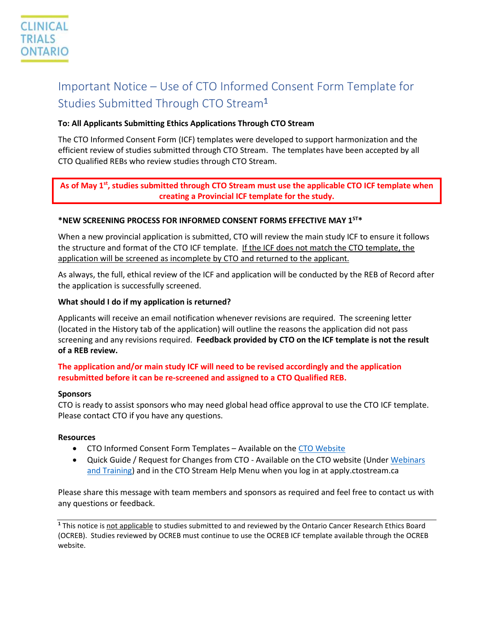# Important Notice – Use of CTO Informed Consent Form Template for Studies Submitted Through CTO Stream1

# **To: All Applicants Submitting Ethics Applications Through CTO Stream**

The CTO Informed Consent Form (ICF) templates were developed to support harmonization and the efficient review of studies submitted through CTO Stream. The templates have been accepted by all CTO Qualified REBs who review studies through CTO Stream.

# As of May 1<sup>st</sup>, studies submitted through CTO Stream must use the applicable CTO ICF template when **creating a Provincial ICF template for the study.**

# **\*NEW SCREENING PROCESS FOR INFORMED CONSENT FORMS EFFECTIVE MAY 1ST\***

When a new provincial application is submitted, CTO will review the main study ICF to ensure it follows the structure and format of the CTO ICF template. If the ICF does not match the CTO template, the application will be screened as incomplete by CTO and returned to the applicant.

As always, the full, ethical review of the ICF and application will be conducted by the REB of Record after the application is successfully screened.

#### **What should I do if my application is returned?**

Applicants will receive an email notification whenever revisions are required. The screening letter (located in the History tab of the application) will outline the reasons the application did not pass screening and any revisions required. **Feedback provided by CTO on the ICF template is not the result of a REB review.**

# **The application and/or main study ICF will need to be revised accordingly and the application resubmitted before it can be re-screened and assigned to a CTO Qualified REB.**

#### **Sponsors**

CTO is ready to assist sponsors who may need global head office approval to use the CTO ICF template. Please contact CTO if you have any questions.

#### **Resources**

- CTO Informed Consent Form Templates Available on the [CTO Website](https://www.ctontario.ca/cto-programs/streamlined-research-ethics-review/tools-and-resources/)
- Quick Guide / Request for Changes from CTO Available on the CTO website (Under [Webinars](https://www.ctontario.ca/cto-programs/streamlined-research-ethics-review/webinars-and-training/)  [and Training\)](https://www.ctontario.ca/cto-programs/streamlined-research-ethics-review/webinars-and-training/) and in the CTO Stream Help Menu when you log in at apply.ctostream.ca

Please share this message with team members and sponsors as required and feel free to contact us with any questions or feedback.

**<sup>1</sup>** This notice is not applicable to studies submitted to and reviewed by the Ontario Cancer Research Ethics Board (OCREB). Studies reviewed by OCREB must continue to use the OCREB ICF template available through the OCREB website.